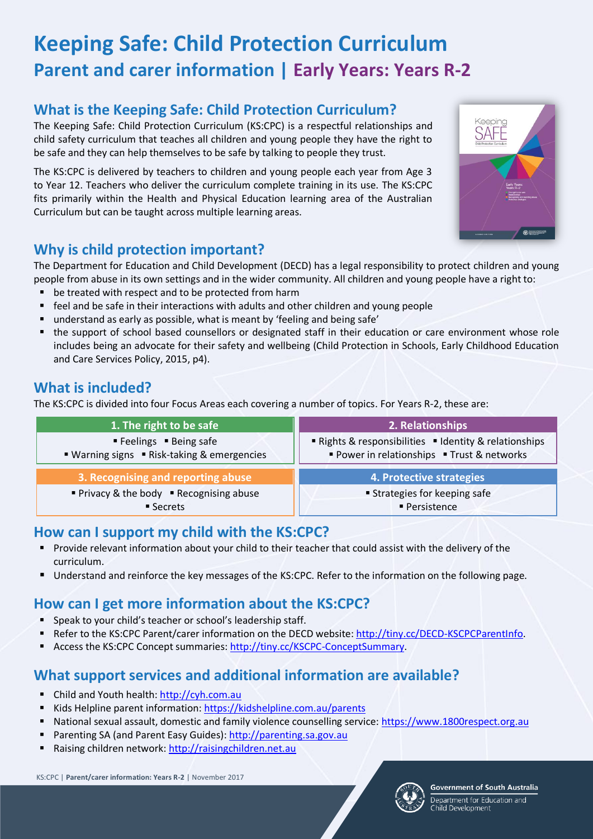# **Keeping Safe: Child Protection Curriculum Parent and carer information | Early Years: Years R-2**

## **What is the Keeping Safe: Child Protection Curriculum?**

The Keeping Safe: Child Protection Curriculum (KS:CPC) is a respectful relationships and child safety curriculum that teaches all children and young people they have the right to be safe and they can help themselves to be safe by talking to people they trust.

The KS:CPC is delivered by teachers to children and young people each year from Age 3 to Year 12. Teachers who deliver the curriculum complete training in its use. The KS:CPC fits primarily within the Health and Physical Education learning area of the Australian Curriculum but can be taught across multiple learning areas.

## **Why is child protection important?**

The Department for Education and Child Development (DECD) has a legal responsibility to protect children and young people from abuse in its own settings and in the wider community. All children and young people have a right to:

- be treated with respect and to be protected from harm
- feel and be safe in their interactions with adults and other children and young people
- understand as early as possible, what is meant by 'feeling and being safe'
- the support of school based counsellors or designated staff in their education or care environment whose role includes being an advocate for their safety and wellbeing (Child Protection in Schools, Early Childhood Education and Care Services Policy, 2015, p4).

### **What is included?**

The KS:CPC is divided into four Focus Areas each covering a number of topics. For Years R-2, these are:

| 1. The right to be safe                     | 2. Relationships                                       |
|---------------------------------------------|--------------------------------------------------------|
| ■ Feelings ■ Being safe                     | ■ Rights & responsibilities ■ Identity & relationships |
| ■ Warning signs ■ Risk-taking & emergencies | Power in relationships • Trust & networks              |
| 3. Recognising and reporting abuse          | 4. Protective strategies                               |
| ■ Privacy & the body ■ Recognising abuse    | <b>Strategies for keeping safe</b>                     |
| ■ Secrets                                   | ■ Persistence                                          |

### **How can I support my child with the KS:CPC?**

- **Provide relevant information about your child to their teacher that could assist with the delivery of the** curriculum.
- Understand and reinforce the key messages of the KS:CPC. Refer to the information on the following page.

# **How can I get more information about the KS:CPC?**

- Speak to your child's teacher or school's leadership staff.
- Refer to the KS:CPC Parent/carer information on the DECD website[: http://tiny.cc/DECD-KSCPCParentInfo.](http://tiny.cc/DECD-KSCPCParentInfo)
- Access the KS:CPC Concept summaries: [http://tiny.cc/KSCPC-ConceptSummary.](http://tiny.cc/KSCPC-ConceptSummary)

### **What support services and additional information are available?**

- Child and Youth health[: http://cyh.com.au](http://cyh.com.au/)
- Kids Helpline parent information[: https://kidshelpline.com.au/parents](https://kidshelpline.com.au/parents)
- National sexual assault, domestic and family violence counselling service: [https://www.1800respect.org.au](https://www.1800respect.org.au/)
- Parenting SA (and Parent Easy Guides): [http://parenting.sa.gov.au](http://parenting.sa.gov.au/)
- Raising children network[: http://raisingchildren.net.au](http://raisingchildren.net.au/)

KS:CPC | **Parent/carer information: Years R-2** | November 2017